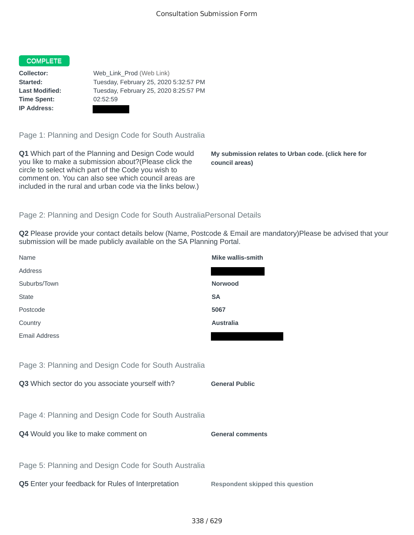## COMPLETE

**Time Spent:** 02:52:59 **IP Address:**

**Collector:** Web\_Link\_Prod (Web Link) **Started:** Tuesday, February 25, 2020 5:32:57 PM **Last Modified:** Tuesday, February 25, 2020 8:25:57 PM

Page 1: Planning and Design Code for South Australia

**Q1** Which part of the Planning and Design Code would you like to make a submission about?(Please click the circle to select which part of the Code you wish to comment on. You can also see which council areas are included in the rural and urban code via the links below.)

**My submission relates to Urban code. (click here for council areas)**

## Page 2: Planning and Design Code for South AustraliaPersonal Details

**Q2** Please provide your contact details below (Name, Postcode & Email are mandatory)Please be advised that your submission will be made publicly available on the SA Planning Portal.

| Name                                                 | <b>Mike wallis-smith</b>                |
|------------------------------------------------------|-----------------------------------------|
| Address                                              |                                         |
| Suburbs/Town                                         | <b>Norwood</b>                          |
| <b>State</b>                                         | <b>SA</b>                               |
| Postcode                                             | 5067                                    |
| Country                                              | <b>Australia</b>                        |
| Email Address                                        |                                         |
|                                                      |                                         |
| Page 3: Planning and Design Code for South Australia |                                         |
| Q3 Which sector do you associate yourself with?      | <b>General Public</b>                   |
|                                                      |                                         |
| Page 4: Planning and Design Code for South Australia |                                         |
| Q4 Would you like to make comment on                 | <b>General comments</b>                 |
|                                                      |                                         |
| Page 5: Planning and Design Code for South Australia |                                         |
| Q5 Enter your feedback for Rules of Interpretation   | <b>Respondent skipped this question</b> |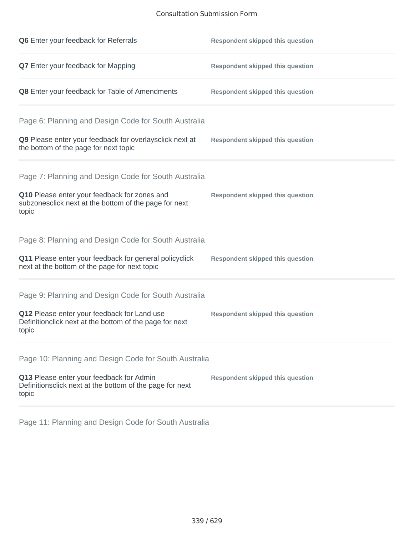## Consultation Submission Form

| Q6 Enter your feedback for Referrals                                                                            | <b>Respondent skipped this question</b> |
|-----------------------------------------------------------------------------------------------------------------|-----------------------------------------|
| Q7 Enter your feedback for Mapping                                                                              | <b>Respondent skipped this question</b> |
| Q8 Enter your feedback for Table of Amendments                                                                  | <b>Respondent skipped this question</b> |
| Page 6: Planning and Design Code for South Australia                                                            |                                         |
| Q9 Please enter your feedback for overlaysclick next at<br>the bottom of the page for next topic                | <b>Respondent skipped this question</b> |
| Page 7: Planning and Design Code for South Australia                                                            |                                         |
| Q10 Please enter your feedback for zones and<br>subzonesclick next at the bottom of the page for next<br>topic  | <b>Respondent skipped this question</b> |
| Page 8: Planning and Design Code for South Australia                                                            |                                         |
| Q11 Please enter your feedback for general policyclick<br>next at the bottom of the page for next topic         | <b>Respondent skipped this question</b> |
| Page 9: Planning and Design Code for South Australia                                                            |                                         |
| Q12 Please enter your feedback for Land use<br>Definitionclick next at the bottom of the page for next<br>topic | <b>Respondent skipped this question</b> |
| Page 10: Planning and Design Code for South Australia                                                           |                                         |
| Q13 Please enter your feedback for Admin<br>Definitionsclick next at the bottom of the page for next<br>topic   | <b>Respondent skipped this question</b> |

Page 11: Planning and Design Code for South Australia